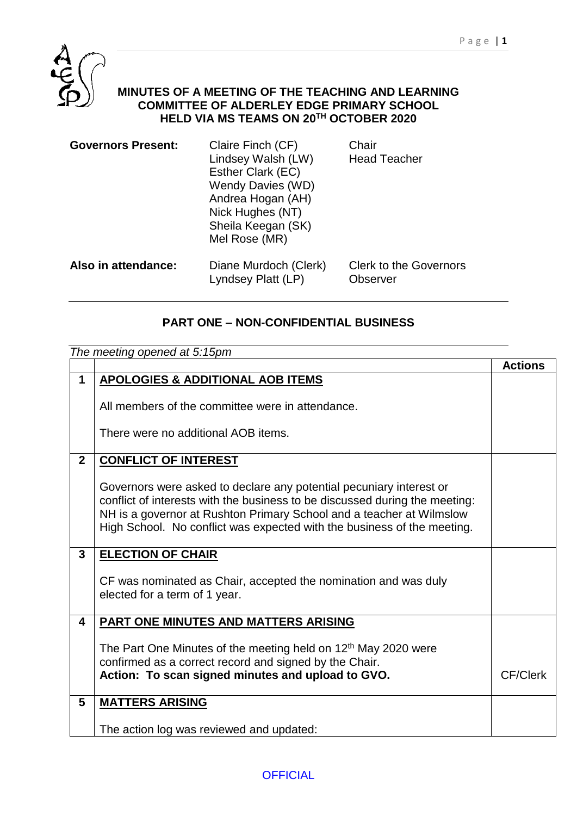

## **MINUTES OF A MEETING OF THE TEACHING AND LEARNING COMMITTEE OF ALDERLEY EDGE PRIMARY SCHOOL HELD VIA MS TEAMS ON 20TH OCTOBER 2020**

| <b>Governors Present:</b> | Claire Finch (CF)<br>Lindsey Walsh (LW)<br>Esther Clark (EC)<br>Wendy Davies (WD)<br>Andrea Hogan (AH)<br>Nick Hughes (NT)<br>Sheila Keegan (SK)<br>Mel Rose (MR) | Chair<br><b>Head Teacher</b>              |
|---------------------------|-------------------------------------------------------------------------------------------------------------------------------------------------------------------|-------------------------------------------|
| Also in attendance:       | Diane Murdoch (Clerk)<br>Lyndsey Platt (LP)                                                                                                                       | <b>Clerk to the Governors</b><br>Observer |

## **PART ONE – NON-CONFIDENTIAL BUSINESS**

|                | The meeting opened at 5:15pm                                                                                                                                                                                                                                                                          |                 |  |
|----------------|-------------------------------------------------------------------------------------------------------------------------------------------------------------------------------------------------------------------------------------------------------------------------------------------------------|-----------------|--|
|                |                                                                                                                                                                                                                                                                                                       | <b>Actions</b>  |  |
| 1              | <b>APOLOGIES &amp; ADDITIONAL AOB ITEMS</b>                                                                                                                                                                                                                                                           |                 |  |
|                | All members of the committee were in attendance.                                                                                                                                                                                                                                                      |                 |  |
|                | There were no additional AOB items.                                                                                                                                                                                                                                                                   |                 |  |
| 2 <sup>1</sup> | <b>CONFLICT OF INTEREST</b>                                                                                                                                                                                                                                                                           |                 |  |
|                | Governors were asked to declare any potential pecuniary interest or<br>conflict of interests with the business to be discussed during the meeting:<br>NH is a governor at Rushton Primary School and a teacher at Wilmslow<br>High School. No conflict was expected with the business of the meeting. |                 |  |
| 3              | <b>ELECTION OF CHAIR</b>                                                                                                                                                                                                                                                                              |                 |  |
|                | CF was nominated as Chair, accepted the nomination and was duly<br>elected for a term of 1 year.                                                                                                                                                                                                      |                 |  |
| 4              | <b>PART ONE MINUTES AND MATTERS ARISING</b>                                                                                                                                                                                                                                                           |                 |  |
|                | The Part One Minutes of the meeting held on 12 <sup>th</sup> May 2020 were<br>confirmed as a correct record and signed by the Chair.<br>Action: To scan signed minutes and upload to GVO.                                                                                                             | <b>CF/Clerk</b> |  |
| 5              | <b>MATTERS ARISING</b>                                                                                                                                                                                                                                                                                |                 |  |
|                | The action log was reviewed and updated:                                                                                                                                                                                                                                                              |                 |  |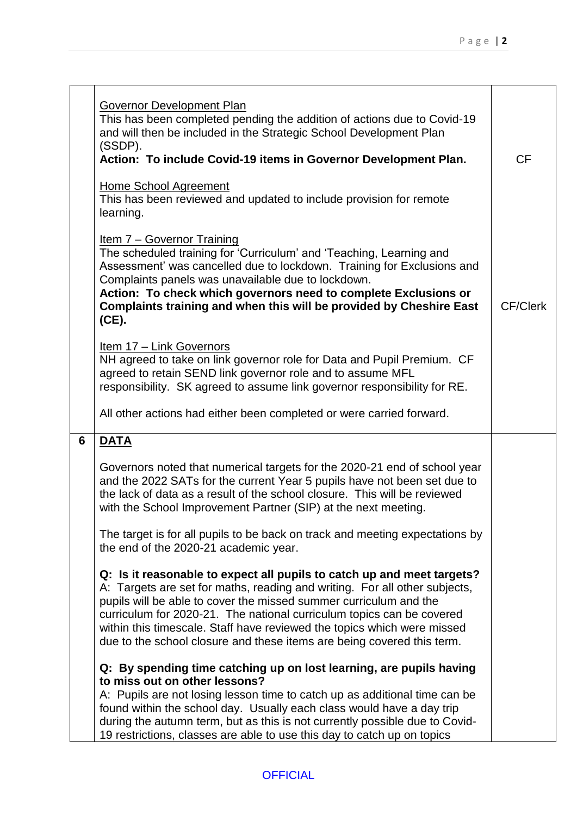|   | Governor Development Plan<br>This has been completed pending the addition of actions due to Covid-19<br>and will then be included in the Strategic School Development Plan<br>(SSDP).<br>Action: To include Covid-19 items in Governor Development Plan.<br><b>Home School Agreement</b><br>This has been reviewed and updated to include provision for remote                                                                                          | <b>CF</b>       |
|---|---------------------------------------------------------------------------------------------------------------------------------------------------------------------------------------------------------------------------------------------------------------------------------------------------------------------------------------------------------------------------------------------------------------------------------------------------------|-----------------|
|   | learning.<br>Item 7 - Governor Training<br>The scheduled training for 'Curriculum' and 'Teaching, Learning and<br>Assessment' was cancelled due to lockdown. Training for Exclusions and<br>Complaints panels was unavailable due to lockdown.<br>Action: To check which governors need to complete Exclusions or<br>Complaints training and when this will be provided by Cheshire East<br>(CE).                                                       | <b>CF/Clerk</b> |
|   | Item 17 - Link Governors<br>NH agreed to take on link governor role for Data and Pupil Premium. CF<br>agreed to retain SEND link governor role and to assume MFL<br>responsibility. SK agreed to assume link governor responsibility for RE.                                                                                                                                                                                                            |                 |
|   | All other actions had either been completed or were carried forward.                                                                                                                                                                                                                                                                                                                                                                                    |                 |
| 6 | <b>DATA</b>                                                                                                                                                                                                                                                                                                                                                                                                                                             |                 |
|   | Governors noted that numerical targets for the 2020-21 end of school year<br>and the 2022 SATs for the current Year 5 pupils have not been set due to<br>the lack of data as a result of the school closure. This will be reviewed<br>with the School Improvement Partner (SIP) at the next meeting.                                                                                                                                                    |                 |
|   | The target is for all pupils to be back on track and meeting expectations by<br>the end of the 2020-21 academic year.                                                                                                                                                                                                                                                                                                                                   |                 |
|   | Q: Is it reasonable to expect all pupils to catch up and meet targets?<br>A: Targets are set for maths, reading and writing. For all other subjects,<br>pupils will be able to cover the missed summer curriculum and the<br>curriculum for 2020-21. The national curriculum topics can be covered<br>within this timescale. Staff have reviewed the topics which were missed<br>due to the school closure and these items are being covered this term. |                 |
|   | Q: By spending time catching up on lost learning, are pupils having<br>to miss out on other lessons?<br>A: Pupils are not losing lesson time to catch up as additional time can be<br>found within the school day. Usually each class would have a day trip<br>during the autumn term, but as this is not currently possible due to Covid-<br>19 restrictions, classes are able to use this day to catch up on topics                                   |                 |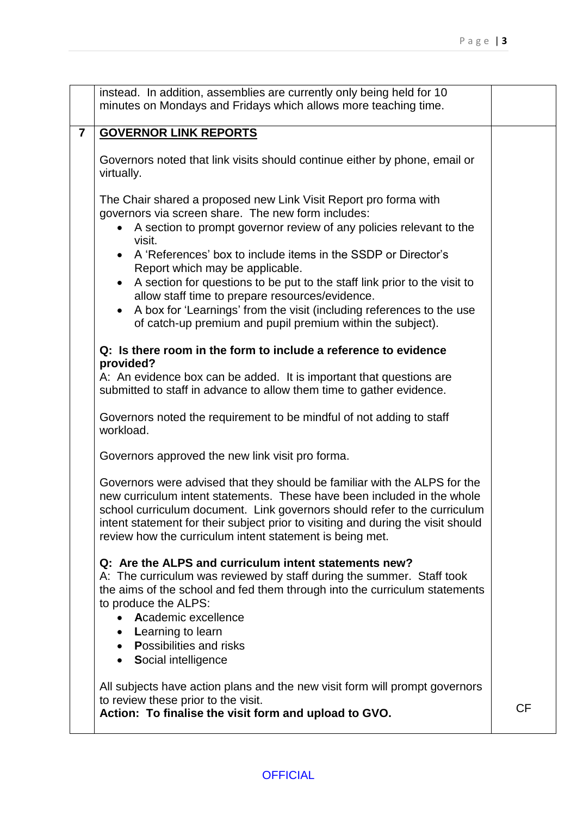|                         | instead. In addition, assemblies are currently only being held for 10                                                                                                                                                                                                                                                                                                             |           |
|-------------------------|-----------------------------------------------------------------------------------------------------------------------------------------------------------------------------------------------------------------------------------------------------------------------------------------------------------------------------------------------------------------------------------|-----------|
|                         | minutes on Mondays and Fridays which allows more teaching time.                                                                                                                                                                                                                                                                                                                   |           |
|                         |                                                                                                                                                                                                                                                                                                                                                                                   |           |
| $\overline{\mathbf{7}}$ | <b>GOVERNOR LINK REPORTS</b>                                                                                                                                                                                                                                                                                                                                                      |           |
|                         |                                                                                                                                                                                                                                                                                                                                                                                   |           |
|                         | Governors noted that link visits should continue either by phone, email or                                                                                                                                                                                                                                                                                                        |           |
|                         | virtually.                                                                                                                                                                                                                                                                                                                                                                        |           |
|                         |                                                                                                                                                                                                                                                                                                                                                                                   |           |
|                         | The Chair shared a proposed new Link Visit Report pro forma with                                                                                                                                                                                                                                                                                                                  |           |
|                         | governors via screen share. The new form includes:                                                                                                                                                                                                                                                                                                                                |           |
|                         | A section to prompt governor review of any policies relevant to the<br>$\bullet$<br>visit.                                                                                                                                                                                                                                                                                        |           |
|                         | A 'References' box to include items in the SSDP or Director's<br>Report which may be applicable.                                                                                                                                                                                                                                                                                  |           |
|                         | A section for questions to be put to the staff link prior to the visit to                                                                                                                                                                                                                                                                                                         |           |
|                         | allow staff time to prepare resources/evidence.                                                                                                                                                                                                                                                                                                                                   |           |
|                         | A box for 'Learnings' from the visit (including references to the use<br>$\bullet$                                                                                                                                                                                                                                                                                                |           |
|                         | of catch-up premium and pupil premium within the subject).                                                                                                                                                                                                                                                                                                                        |           |
|                         |                                                                                                                                                                                                                                                                                                                                                                                   |           |
|                         | Q: Is there room in the form to include a reference to evidence                                                                                                                                                                                                                                                                                                                   |           |
|                         | provided?                                                                                                                                                                                                                                                                                                                                                                         |           |
|                         | A: An evidence box can be added. It is important that questions are                                                                                                                                                                                                                                                                                                               |           |
|                         | submitted to staff in advance to allow them time to gather evidence.                                                                                                                                                                                                                                                                                                              |           |
|                         |                                                                                                                                                                                                                                                                                                                                                                                   |           |
|                         | Governors noted the requirement to be mindful of not adding to staff<br>workload.                                                                                                                                                                                                                                                                                                 |           |
|                         | Governors approved the new link visit pro forma.                                                                                                                                                                                                                                                                                                                                  |           |
|                         | Governors were advised that they should be familiar with the ALPS for the<br>new curriculum intent statements. These have been included in the whole<br>school curriculum document. Link governors should refer to the curriculum<br>intent statement for their subject prior to visiting and during the visit should<br>review how the curriculum intent statement is being met. |           |
|                         | Q: Are the ALPS and curriculum intent statements new?<br>A: The curriculum was reviewed by staff during the summer. Staff took                                                                                                                                                                                                                                                    |           |
|                         | the aims of the school and fed them through into the curriculum statements                                                                                                                                                                                                                                                                                                        |           |
|                         | to produce the ALPS:                                                                                                                                                                                                                                                                                                                                                              |           |
|                         | Academic excellence<br>$\bullet$                                                                                                                                                                                                                                                                                                                                                  |           |
|                         | Learning to learn<br>$\bullet$                                                                                                                                                                                                                                                                                                                                                    |           |
|                         | <b>Possibilities and risks</b>                                                                                                                                                                                                                                                                                                                                                    |           |
|                         | Social intelligence<br>$\bullet$                                                                                                                                                                                                                                                                                                                                                  |           |
|                         |                                                                                                                                                                                                                                                                                                                                                                                   |           |
|                         | All subjects have action plans and the new visit form will prompt governors                                                                                                                                                                                                                                                                                                       |           |
|                         | to review these prior to the visit.                                                                                                                                                                                                                                                                                                                                               |           |
|                         | Action: To finalise the visit form and upload to GVO.                                                                                                                                                                                                                                                                                                                             | <b>CF</b> |
|                         |                                                                                                                                                                                                                                                                                                                                                                                   |           |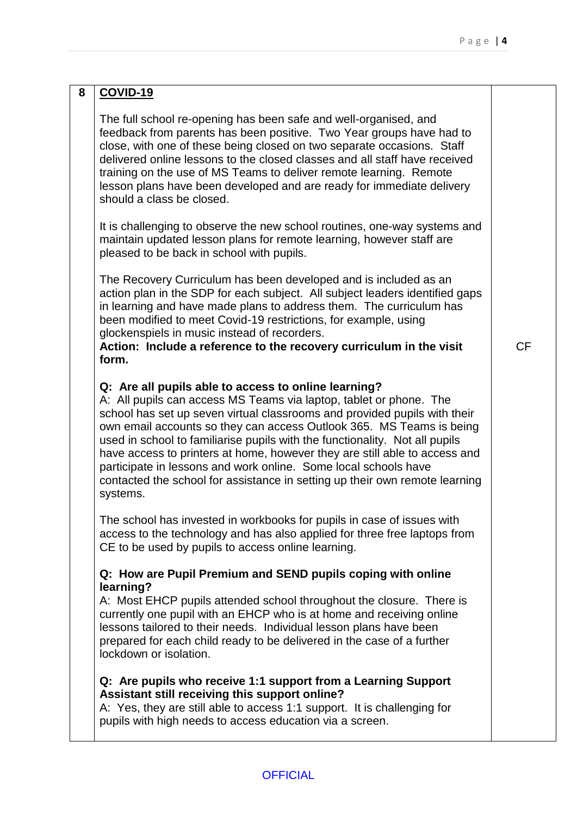| 8 | <b>COVID-19</b>                                                                                                                                                                                                                                                                                                                                                                                                                                                                                                                                                                                            |           |
|---|------------------------------------------------------------------------------------------------------------------------------------------------------------------------------------------------------------------------------------------------------------------------------------------------------------------------------------------------------------------------------------------------------------------------------------------------------------------------------------------------------------------------------------------------------------------------------------------------------------|-----------|
|   | The full school re-opening has been safe and well-organised, and<br>feedback from parents has been positive. Two Year groups have had to<br>close, with one of these being closed on two separate occasions. Staff<br>delivered online lessons to the closed classes and all staff have received<br>training on the use of MS Teams to deliver remote learning. Remote<br>lesson plans have been developed and are ready for immediate delivery<br>should a class be closed.                                                                                                                               |           |
|   | It is challenging to observe the new school routines, one-way systems and<br>maintain updated lesson plans for remote learning, however staff are<br>pleased to be back in school with pupils.                                                                                                                                                                                                                                                                                                                                                                                                             |           |
|   | The Recovery Curriculum has been developed and is included as an<br>action plan in the SDP for each subject. All subject leaders identified gaps<br>in learning and have made plans to address them. The curriculum has<br>been modified to meet Covid-19 restrictions, for example, using<br>glockenspiels in music instead of recorders.<br>Action: Include a reference to the recovery curriculum in the visit<br>form.                                                                                                                                                                                 | <b>CF</b> |
|   | Q: Are all pupils able to access to online learning?<br>A: All pupils can access MS Teams via laptop, tablet or phone. The<br>school has set up seven virtual classrooms and provided pupils with their<br>own email accounts so they can access Outlook 365. MS Teams is being<br>used in school to familiarise pupils with the functionality. Not all pupils<br>have access to printers at home, however they are still able to access and<br>participate in lessons and work online. Some local schools have<br>contacted the school for assistance in setting up their own remote learning<br>systems. |           |
|   | The school has invested in workbooks for pupils in case of issues with<br>access to the technology and has also applied for three free laptops from<br>CE to be used by pupils to access online learning.                                                                                                                                                                                                                                                                                                                                                                                                  |           |
|   | Q: How are Pupil Premium and SEND pupils coping with online                                                                                                                                                                                                                                                                                                                                                                                                                                                                                                                                                |           |
|   | learning?<br>A: Most EHCP pupils attended school throughout the closure. There is<br>currently one pupil with an EHCP who is at home and receiving online<br>lessons tailored to their needs. Individual lesson plans have been<br>prepared for each child ready to be delivered in the case of a further<br>lockdown or isolation.                                                                                                                                                                                                                                                                        |           |
|   | Q: Are pupils who receive 1:1 support from a Learning Support<br>Assistant still receiving this support online?<br>A: Yes, they are still able to access 1:1 support. It is challenging for<br>pupils with high needs to access education via a screen.                                                                                                                                                                                                                                                                                                                                                    |           |

# **OFFICIAL**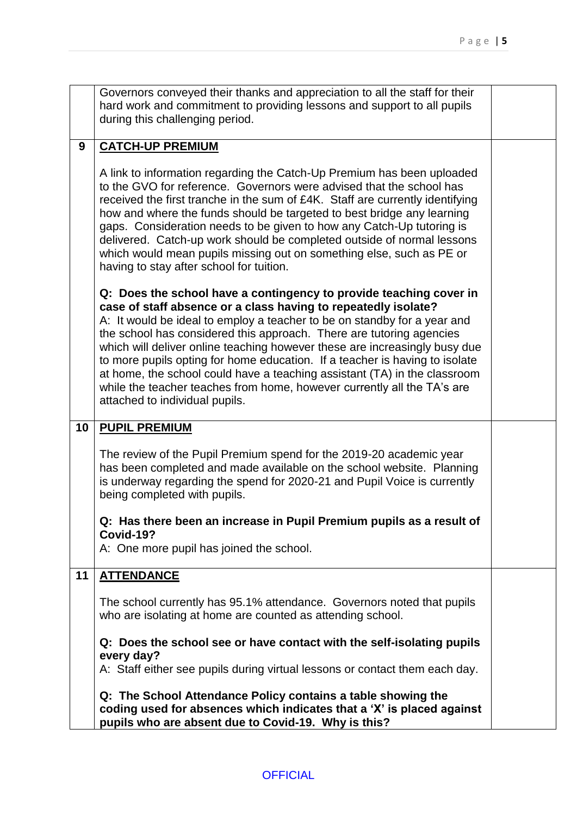| Governors conveyed their thanks and appreciation to all the staff for their |
|-----------------------------------------------------------------------------|
|                                                                             |
| hard work and commitment to providing lessons and support to all pupils     |
| during this challenging period.                                             |

## **9 CATCH-UP PREMIUM**

A link to information regarding the Catch-Up Premium has been uploaded to the GVO for reference. Governors were advised that the school has received the first tranche in the sum of £4K. Staff are currently identifying how and where the funds should be targeted to best bridge any learning gaps. Consideration needs to be given to how any Catch-Up tutoring is delivered. Catch-up work should be completed outside of normal lessons which would mean pupils missing out on something else, such as PE or having to stay after school for tuition.

**Q: Does the school have a contingency to provide teaching cover in case of staff absence or a class having to repeatedly isolate?** 

A: It would be ideal to employ a teacher to be on standby for a year and the school has considered this approach. There are tutoring agencies which will deliver online teaching however these are increasingly busy due to more pupils opting for home education. If a teacher is having to isolate at home, the school could have a teaching assistant (TA) in the classroom while the teacher teaches from home, however currently all the TA's are attached to individual pupils.

#### **10 PUPIL PREMIUM**

The review of the Pupil Premium spend for the 2019-20 academic year has been completed and made available on the school website. Planning is underway regarding the spend for 2020-21 and Pupil Voice is currently being completed with pupils.

#### **Q: Has there been an increase in Pupil Premium pupils as a result of Covid-19?**

A: One more pupil has joined the school.

#### **11 ATTENDANCE**

The school currently has 95.1% attendance. Governors noted that pupils who are isolating at home are counted as attending school.

#### **Q: Does the school see or have contact with the self-isolating pupils every day?**

A: Staff either see pupils during virtual lessons or contact them each day.

**Q: The School Attendance Policy contains a table showing the coding used for absences which indicates that a 'X' is placed against pupils who are absent due to Covid-19. Why is this?**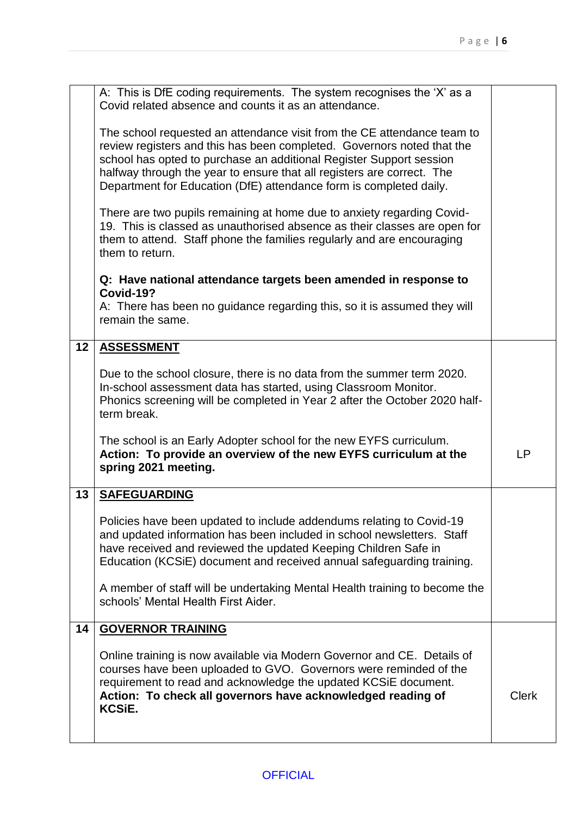|    | A: This is DfE coding requirements. The system recognises the 'X' as a<br>Covid related absence and counts it as an attendance.                                                                                                                                                                                                                                          |              |
|----|--------------------------------------------------------------------------------------------------------------------------------------------------------------------------------------------------------------------------------------------------------------------------------------------------------------------------------------------------------------------------|--------------|
|    | The school requested an attendance visit from the CE attendance team to<br>review registers and this has been completed. Governors noted that the<br>school has opted to purchase an additional Register Support session<br>halfway through the year to ensure that all registers are correct. The<br>Department for Education (DfE) attendance form is completed daily. |              |
|    | There are two pupils remaining at home due to anxiety regarding Covid-<br>19. This is classed as unauthorised absence as their classes are open for<br>them to attend. Staff phone the families regularly and are encouraging<br>them to return.                                                                                                                         |              |
|    | Q: Have national attendance targets been amended in response to                                                                                                                                                                                                                                                                                                          |              |
|    | Covid-19?<br>A: There has been no guidance regarding this, so it is assumed they will<br>remain the same.                                                                                                                                                                                                                                                                |              |
| 12 | <b>ASSESSMENT</b>                                                                                                                                                                                                                                                                                                                                                        |              |
|    | Due to the school closure, there is no data from the summer term 2020.<br>In-school assessment data has started, using Classroom Monitor.<br>Phonics screening will be completed in Year 2 after the October 2020 half-<br>term break.                                                                                                                                   |              |
|    | The school is an Early Adopter school for the new EYFS curriculum.<br>Action: To provide an overview of the new EYFS curriculum at the<br>spring 2021 meeting.                                                                                                                                                                                                           | <b>LP</b>    |
| 13 | <b>SAFEGUARDING</b>                                                                                                                                                                                                                                                                                                                                                      |              |
|    | Policies have been updated to include addendums relating to Covid-19<br>and updated information has been included in school newsletters. Staff<br>have received and reviewed the updated Keeping Children Safe in<br>Education (KCSiE) document and received annual safeguarding training.                                                                               |              |
|    | A member of staff will be undertaking Mental Health training to become the<br>schools' Mental Health First Aider.                                                                                                                                                                                                                                                        |              |
| 14 | <b>GOVERNOR TRAINING</b>                                                                                                                                                                                                                                                                                                                                                 |              |
|    | Online training is now available via Modern Governor and CE. Details of<br>courses have been uploaded to GVO. Governors were reminded of the<br>requirement to read and acknowledge the updated KCSIE document.<br>Action: To check all governors have acknowledged reading of<br>KCSiE.                                                                                 | <b>Clerk</b> |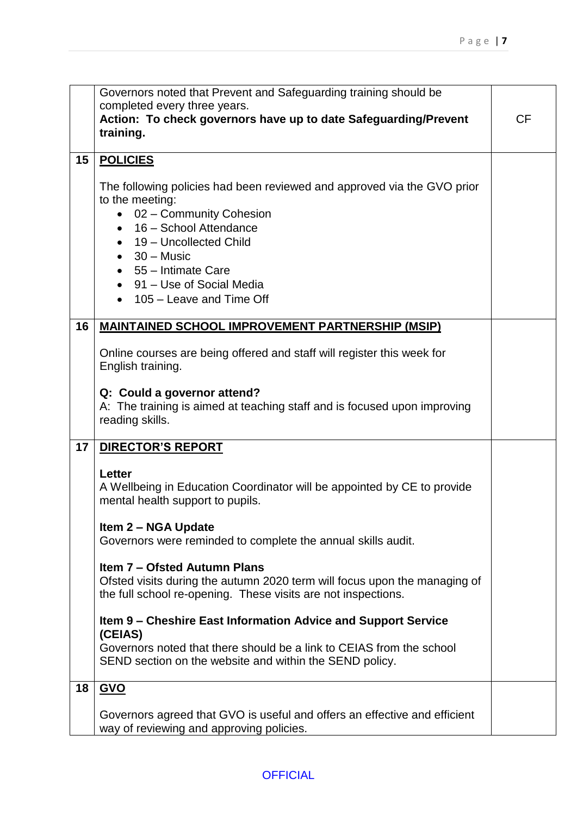|    | Governors noted that Prevent and Safeguarding training should be                            |           |
|----|---------------------------------------------------------------------------------------------|-----------|
|    | completed every three years.                                                                |           |
|    | Action: To check governors have up to date Safeguarding/Prevent                             | <b>CF</b> |
|    | training.                                                                                   |           |
|    |                                                                                             |           |
| 15 | <b>POLICIES</b>                                                                             |           |
|    | The following policies had been reviewed and approved via the GVO prior                     |           |
|    | to the meeting:                                                                             |           |
|    | • 02 - Community Cohesion                                                                   |           |
|    | • 16 - School Attendance                                                                    |           |
|    | • 19 - Uncollected Child                                                                    |           |
|    | $\bullet$ 30 – Music                                                                        |           |
|    | $\bullet$ 55 - Intimate Care                                                                |           |
|    | • 91 – Use of Social Media                                                                  |           |
|    | • 105 - Leave and Time Off                                                                  |           |
|    |                                                                                             |           |
| 16 | <b>MAINTAINED SCHOOL IMPROVEMENT PARTNERSHIP (MSIP)</b>                                     |           |
|    |                                                                                             |           |
|    | Online courses are being offered and staff will register this week for<br>English training. |           |
|    |                                                                                             |           |
|    | Q: Could a governor attend?                                                                 |           |
|    | A: The training is aimed at teaching staff and is focused upon improving                    |           |
|    | reading skills.                                                                             |           |
|    |                                                                                             |           |
| 17 | <b>DIRECTOR'S REPORT</b>                                                                    |           |
|    |                                                                                             |           |
|    | <b>Letter</b><br>A Wellbeing in Education Coordinator will be appointed by CE to provide    |           |
|    | mental health support to pupils.                                                            |           |
|    |                                                                                             |           |
|    | <b>Item 2 – NGA Update</b>                                                                  |           |
|    | Governors were reminded to complete the annual skills audit.                                |           |
|    |                                                                                             |           |
|    | <b>Item 7 – Ofsted Autumn Plans</b>                                                         |           |
|    | Ofsted visits during the autumn 2020 term will focus upon the managing of                   |           |
|    | the full school re-opening. These visits are not inspections.                               |           |
|    | Item 9 – Cheshire East Information Advice and Support Service                               |           |
|    | (CEIAS)                                                                                     |           |
|    | Governors noted that there should be a link to CEIAS from the school                        |           |
|    | SEND section on the website and within the SEND policy.                                     |           |
|    |                                                                                             |           |
| 18 | <b>GVO</b>                                                                                  |           |
|    | Governors agreed that GVO is useful and offers an effective and efficient                   |           |
|    | way of reviewing and approving policies.                                                    |           |
|    |                                                                                             |           |